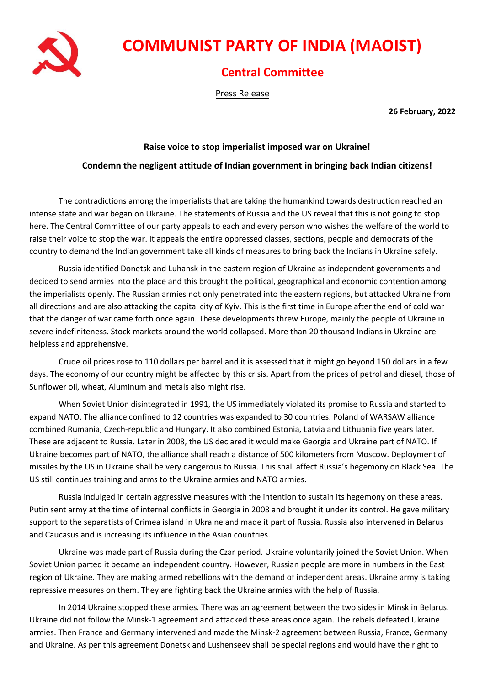

# **COMMUNIST PARTY OF INDIA (MAOIST)**

## **Central Committee**

Press Release

**26 February, 2022**

#### **Raise voice to stop imperialist imposed war on Ukraine!**

### **Condemn the negligent attitude of Indian government in bringing back Indian citizens!**

The contradictions among the imperialists that are taking the humankind towards destruction reached an intense state and war began on Ukraine. The statements of Russia and the US reveal that this is not going to stop here. The Central Committee of our party appeals to each and every person who wishes the welfare of the world to raise their voice to stop the war. It appeals the entire oppressed classes, sections, people and democrats of the country to demand the Indian government take all kinds of measures to bring back the Indians in Ukraine safely.

Russia identified Donetsk and Luhansk in the eastern region of Ukraine as independent governments and decided to send armies into the place and this brought the political, geographical and economic contention among the imperialists openly. The Russian armies not only penetrated into the eastern regions, but attacked Ukraine from all directions and are also attacking the capital city of Kyiv. This is the first time in Europe after the end of cold war that the danger of war came forth once again. These developments threw Europe, mainly the people of Ukraine in severe indefiniteness. Stock markets around the world collapsed. More than 20 thousand Indians in Ukraine are helpless and apprehensive.

Crude oil prices rose to 110 dollars per barrel and it is assessed that it might go beyond 150 dollars in a few days. The economy of our country might be affected by this crisis. Apart from the prices of petrol and diesel, those of Sunflower oil, wheat, Aluminum and metals also might rise.

When Soviet Union disintegrated in 1991, the US immediately violated its promise to Russia and started to expand NATO. The alliance confined to 12 countries was expanded to 30 countries. Poland of WARSAW alliance combined Rumania, Czech-republic and Hungary. It also combined Estonia, Latvia and Lithuania five years later. These are adjacent to Russia. Later in 2008, the US declared it would make Georgia and Ukraine part of NATO. If Ukraine becomes part of NATO, the alliance shall reach a distance of 500 kilometers from Moscow. Deployment of missiles by the US in Ukraine shall be very dangerous to Russia. This shall affect Russia's hegemony on Black Sea. The US still continues training and arms to the Ukraine armies and NATO armies.

Russia indulged in certain aggressive measures with the intention to sustain its hegemony on these areas. Putin sent army at the time of internal conflicts in Georgia in 2008 and brought it under its control. He gave military support to the separatists of Crimea island in Ukraine and made it part of Russia. Russia also intervened in Belarus and Caucasus and is increasing its influence in the Asian countries.

Ukraine was made part of Russia during the Czar period. Ukraine voluntarily joined the Soviet Union. When Soviet Union parted it became an independent country. However, Russian people are more in numbers in the East region of Ukraine. They are making armed rebellions with the demand of independent areas. Ukraine army is taking repressive measures on them. They are fighting back the Ukraine armies with the help of Russia.

In 2014 Ukraine stopped these armies. There was an agreement between the two sides in Minsk in Belarus. Ukraine did not follow the Minsk-1 agreement and attacked these areas once again. The rebels defeated Ukraine armies. Then France and Germany intervened and made the Minsk-2 agreement between Russia, France, Germany and Ukraine. As per this agreement Donetsk and Lushenseev shall be special regions and would have the right to